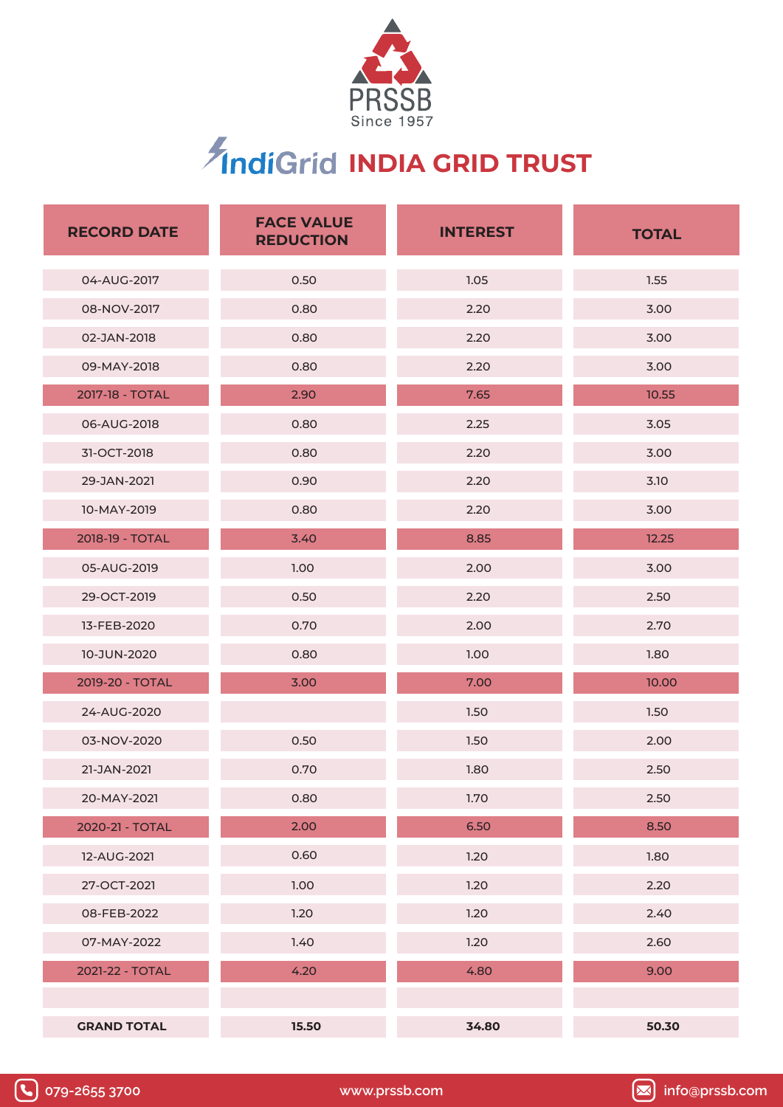

# **IndiGrid INDIA GRID TRUST**

| <b>RECORD DATE</b> | <b>FACE VALUE</b><br><b>REDUCTION</b> | <b>INTEREST</b> | <b>TOTAL</b> |  |
|--------------------|---------------------------------------|-----------------|--------------|--|
| 04-AUG-2017        | 0.50                                  | 1.05            | 1.55         |  |
| 08-NOV-2017        | 0.80                                  | 2.20            | 3.00         |  |
| 02-JAN-2018        | 0.80                                  | 2.20            | 3.00         |  |
| 09-MAY-2018        | 0.80                                  | 2.20            | 3.00         |  |
| 2017-18 - TOTAL    | 2.90                                  | 7.65            | 10.55        |  |
| 06-AUG-2018        | 0.80                                  | 2.25            | 3.05         |  |
| 31-OCT-2018        | 0.80                                  | 2.20            | 3.00         |  |
| 29-JAN-2021        | 0.90                                  | 2.20            | 3.10         |  |
| 10-MAY-2019        | 0.80                                  | 2.20            | 3.00         |  |
| 2018-19 - TOTAL    | 3.40                                  | 8.85            | 12.25        |  |
| 05-AUG-2019        | 1.00                                  | 2.00            | 3.00         |  |
| 29-OCT-2019        | 0.50                                  | 2.20            | 2.50         |  |
| 13-FEB-2020        | 0.70                                  | 2.00            | 2.70         |  |
| 10-JUN-2020        | 0.80                                  | 1.00            | 1.80         |  |
| 2019-20 - TOTAL    | 3.00                                  | 7.00            | 10.00        |  |
| 24-AUG-2020        |                                       | 1.50            | 1.50         |  |
| 03-NOV-2020        | 0.50                                  | 1.50            | 2.00         |  |
| 21-JAN-2021        | 0.70                                  | 1.80            | 2.50         |  |
| 20-MAY-2021        | 0.80                                  | 1.70            | 2.50         |  |
| 2020-21 - TOTAL    | 2.00                                  | 6.50            | 8.50         |  |
| 12-AUG-2021        | 0.60                                  | 1.20            | 1.80         |  |
| 27-OCT-2021        | 1.00                                  | 1.20            | 2.20         |  |
| 08-FEB-2022        | 1.20                                  | 1.20            | 2.40         |  |
| 07-MAY-2022        | 1.40                                  | 1.20            | 2.60         |  |
| 2021-22 - TOTAL    | 4.20                                  | 4.80            | 9.00         |  |
|                    |                                       |                 |              |  |
| <b>GRAND TOTAL</b> | 15.50                                 | 34.80           | 50.30        |  |



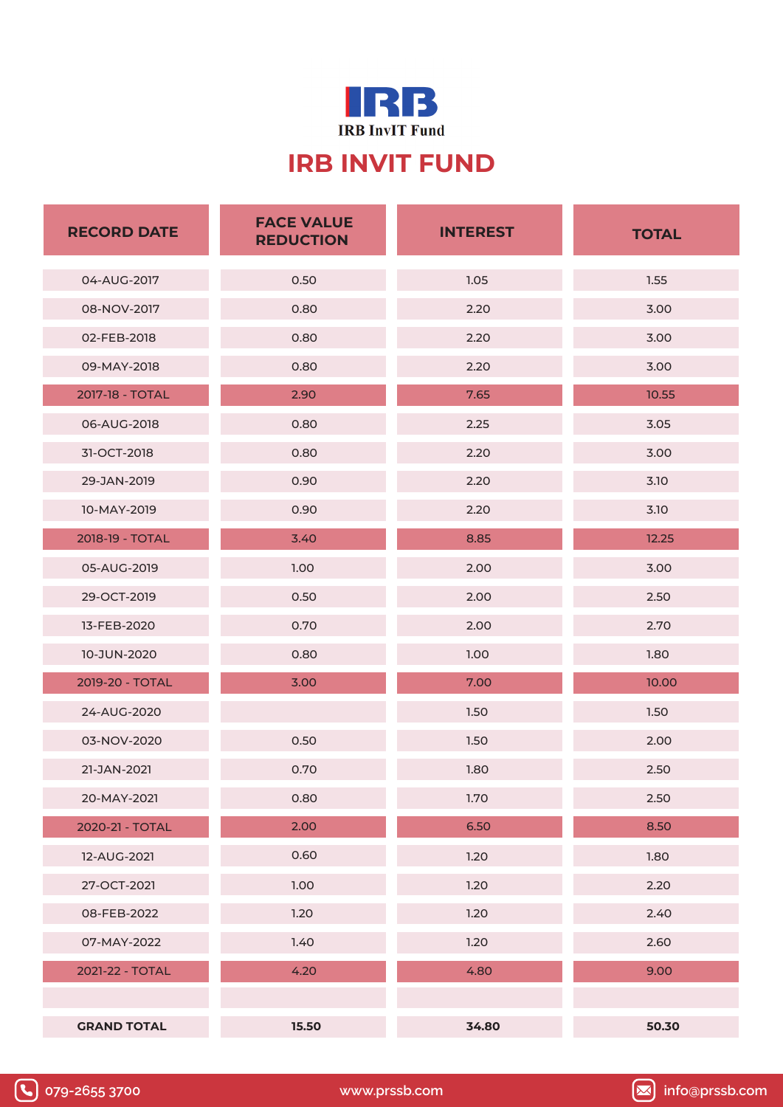

#### **IRB INVIT FUND**

| <b>RECORD DATE</b> | <b>FACE VALUE</b><br><b>REDUCTION</b> | <b>INTEREST</b> | <b>TOTAL</b> |  |
|--------------------|---------------------------------------|-----------------|--------------|--|
| 04-AUG-2017        | 0.50                                  | 1.05            | 1.55         |  |
| 08-NOV-2017        | 0.80                                  | 2.20            | 3.00         |  |
| 02-FEB-2018        | 0.80                                  | 2.20            | 3.00         |  |
| 09-MAY-2018        | 0.80                                  | 2.20            | 3.00         |  |
| 2017-18 - TOTAL    | 2.90                                  | 7.65            | 10.55        |  |
| 06-AUG-2018        | 0.80                                  | 2.25            | 3.05         |  |
| 31-OCT-2018        | 0.80                                  | 2.20            | 3.00         |  |
| 29-JAN-2019        | 0.90                                  | 2.20            | 3.10         |  |
| 10-MAY-2019        | 0.90                                  | 2.20            | 3.10         |  |
| 2018-19 - TOTAL    | 3.40                                  | 8.85            | 12.25        |  |
| 05-AUG-2019        | 1.00                                  | 2.00            | 3.00         |  |
| 29-OCT-2019        | 0.50                                  | 2.00            | 2.50         |  |
| 13-FEB-2020        | 0.70                                  | 2.00            | 2.70         |  |
| 10-JUN-2020        | 0.80                                  | 1.00            | 1.80         |  |
| 2019-20 - TOTAL    | 3.00                                  | 7.00            | 10.00        |  |
| 24-AUG-2020        |                                       | 1.50            | 1.50         |  |
| 03-NOV-2020        | 0.50                                  | 1.50            | 2.00         |  |
| 21-JAN-2021        | 0.70                                  | 1.80            | 2.50         |  |
| 20-MAY-2021        | 0.80                                  | 1.70            | 2.50         |  |
| 2020-21 - TOTAL    | 2.00                                  | 6.50            | 8.50         |  |
| 12-AUG-2021        | 0.60                                  | 1.20            | 1.80         |  |
| 27-OCT-2021        | 1.00                                  | 1.20            | 2.20         |  |
| 08-FEB-2022        | 1.20                                  | 1.20            | 2.40         |  |
| 07-MAY-2022        | 1.40                                  | 1.20            | 2.60         |  |
| 2021-22 - TOTAL    | 4.20                                  | 4.80            | 9.00         |  |
|                    |                                       |                 |              |  |
| <b>GRAND TOTAL</b> | 15.50                                 | 34.80           | 50.30        |  |



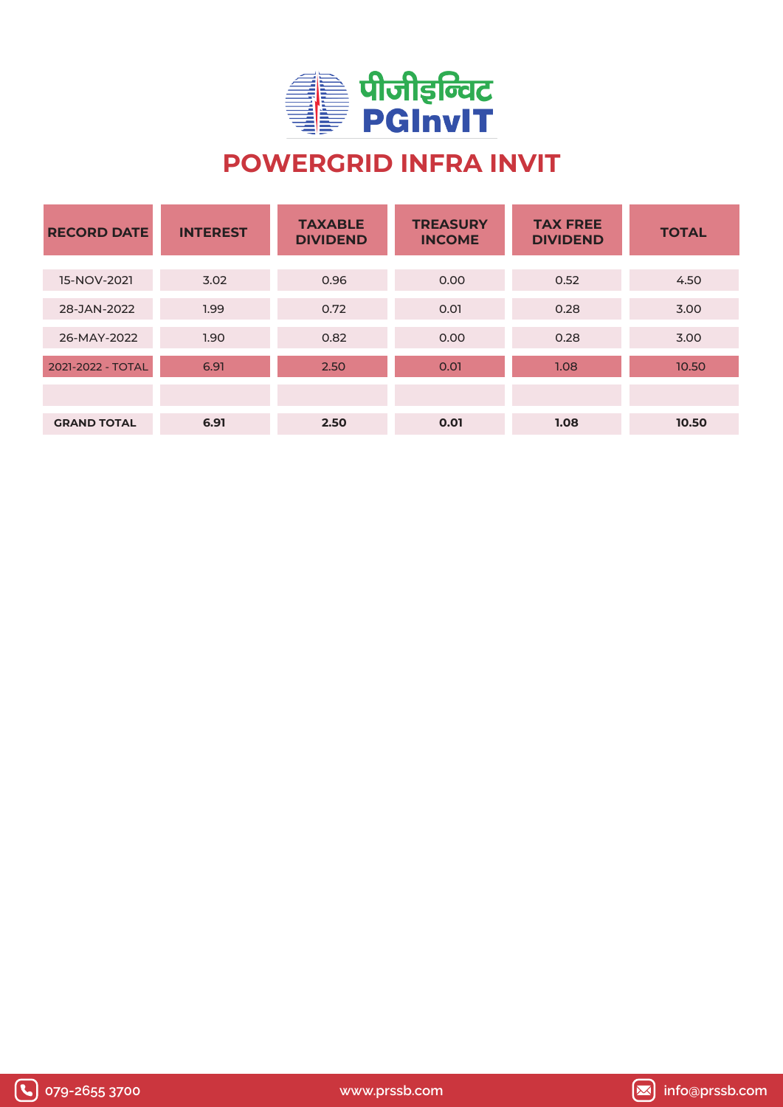

## **POWERGRID INFRA INVIT**

| <b>RECORD DATE</b> | <b>INTEREST</b> | <b>TAXABLE</b><br><b>DIVIDEND</b> | <b>TREASURY</b><br><b>INCOME</b> | <b>TAX FREE</b><br><b>DIVIDEND</b> | <b>TOTAL</b> |
|--------------------|-----------------|-----------------------------------|----------------------------------|------------------------------------|--------------|
|                    |                 |                                   |                                  |                                    |              |
| 15-NOV-2021        | 3.02            | 0.96                              | 0.00                             | 0.52                               | 4.50         |
| 28-JAN-2022        | 1.99            | 0.72                              | 0.01                             | 0.28                               | 3.00         |
| 26-MAY-2022        | 1.90            | 0.82                              | 0.00                             | 0.28                               | 3.00         |
| 2021-2022 - TOTAL  | 6.91            | 2.50                              | 0.01                             | 1.08                               | 10.50        |
|                    |                 |                                   |                                  |                                    |              |
| <b>GRAND TOTAL</b> | 6.91            | 2.50                              | 0.01                             | 1.08                               | 10.50        |





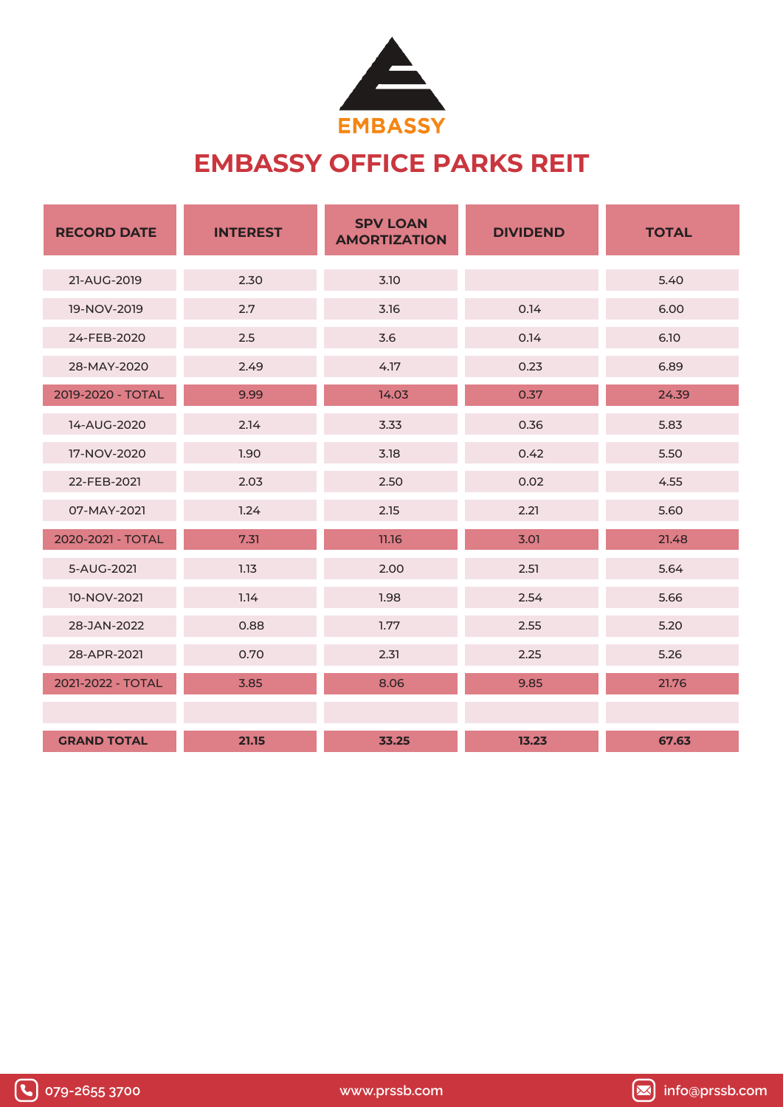

#### **EMBASSY OFFICE PARKS REIT**

| <b>RECORD DATE</b> | <b>INTEREST</b> | <b>SPV LOAN</b><br><b>DIVIDEND</b><br><b>AMORTIZATION</b> |       | <b>TOTAL</b> |
|--------------------|-----------------|-----------------------------------------------------------|-------|--------------|
| 21-AUG-2019        | 2.30            | 3.10                                                      |       | 5.40         |
| 19-NOV-2019        | 2.7             | 3.16                                                      | 0.14  | 6.00         |
| 24-FEB-2020        | 2.5             | 3.6                                                       | 0.14  | 6.10         |
| 28-MAY-2020        | 2.49            | 4.17                                                      | 0.23  | 6.89         |
| 2019-2020 - TOTAL  | 9.99            | 14.03                                                     | 0.37  | 24.39        |
| 14-AUG-2020        | 2.14            | 3.33                                                      | 0.36  | 5.83         |
| 17-NOV-2020        | 1.90            | 3.18                                                      | 0.42  | 5.50         |
| 22-FEB-2021        | 2.03            | 2.50                                                      | 0.02  | 4.55         |
| 07-MAY-2021        | 1.24            | 2.15                                                      | 2.21  | 5.60         |
| 2020-2021 - TOTAL  | 7.31            | 11.16                                                     | 3.01  | 21.48        |
| 5-AUG-2021         | 1.13            | 2.00                                                      | 2.51  | 5.64         |
| 10-NOV-2021        | 1.14            | 1.98                                                      | 2.54  | 5.66         |
| 28-JAN-2022        | 0.88            | 1.77                                                      | 2.55  | 5.20         |
| 28-APR-2021        | 0.70            | 2.31                                                      | 2.25  | 5.26         |
| 2021-2022 - TOTAL  | 3.85            | 8.06                                                      | 9.85  | 21.76        |
|                    |                 |                                                           |       |              |
| <b>GRAND TOTAL</b> | 21.15           | 33.25                                                     | 13.23 | 67.63        |



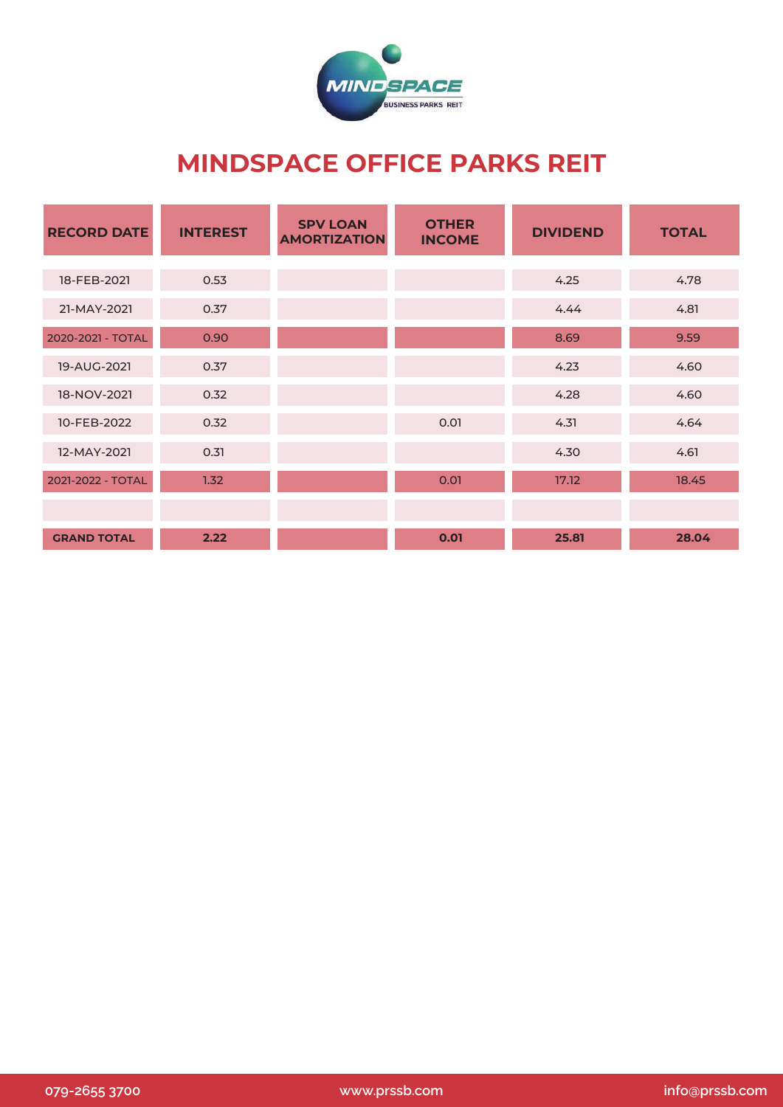

#### **MINDSPACE OFFICE PARKS REIT**

| <b>RECORD DATE</b> | <b>INTEREST</b> | <b>SPV LOAN</b><br><b>AMORTIZATION</b> | <b>OTHER</b><br><b>INCOME</b> | <b>DIVIDEND</b> | <b>TOTAL</b> |
|--------------------|-----------------|----------------------------------------|-------------------------------|-----------------|--------------|
|                    |                 |                                        |                               |                 |              |
| 18-FEB-2021        | 0.53            |                                        |                               | 4.25            | 4.78         |
| 21-MAY-2021        | 0.37            |                                        |                               | 4.44            | 4.81         |
| 2020-2021 - TOTAL  | 0.90            |                                        |                               | 8.69            | 9.59         |
| 19-AUG-2021        | 0.37            |                                        |                               | 4.23            | 4.60         |
| 18-NOV-2021        | 0.32            |                                        |                               | 4.28            | 4.60         |
| 10-FEB-2022        | 0.32            |                                        | 0.01                          | 4.31            | 4.64         |
| 12-MAY-2021        | 0.31            |                                        |                               | 4.30            | 4.61         |
| 2021-2022 - TOTAL  | 1.32            |                                        | 0.01                          | 17.12           | 18.45        |
|                    |                 |                                        |                               |                 |              |
| <b>GRAND TOTAL</b> | 2.22            |                                        | 0.01                          | 25.81           | 28.04        |